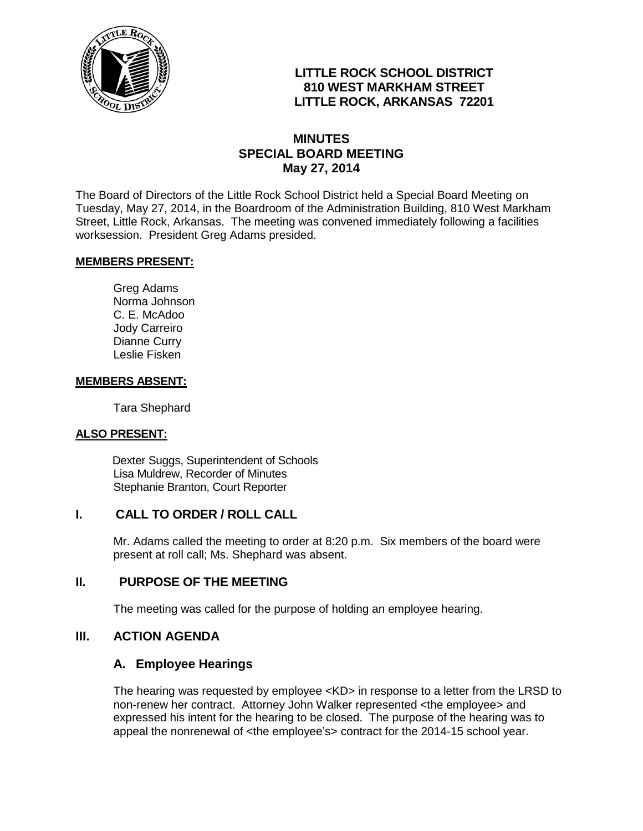

# **LITTLE ROCK SCHOOL DISTRICT 810 WEST MARKHAM STREET LITTLE ROCK, ARKANSAS 72201**

# **MINUTES SPECIAL BOARD MEETING May 27, 2014**

The Board of Directors of the Little Rock School District held a Special Board Meeting on Tuesday, May 27, 2014, in the Boardroom of the Administration Building, 810 West Markham Street, Little Rock, Arkansas. The meeting was convened immediately following a facilities worksession. President Greg Adams presided.

### **MEMBERS PRESENT:**

Greg Adams Norma Johnson C. E. McAdoo Jody Carreiro Dianne Curry Leslie Fisken

### **MEMBERS ABSENT:**

Tara Shephard

### **ALSO PRESENT:**

 Dexter Suggs, Superintendent of Schools Lisa Muldrew, Recorder of Minutes Stephanie Branton, Court Reporter

### **I. CALL TO ORDER / ROLL CALL**

Mr. Adams called the meeting to order at 8:20 p.m. Six members of the board were present at roll call; Ms. Shephard was absent.

### **II. PURPOSE OF THE MEETING**

The meeting was called for the purpose of holding an employee hearing.

## **III. ACTION AGENDA**

### **A. Employee Hearings**

The hearing was requested by employee <KD> in response to a letter from the LRSD to non-renew her contract. Attorney John Walker represented <the employee> and expressed his intent for the hearing to be closed. The purpose of the hearing was to appeal the nonrenewal of <the employee's> contract for the 2014-15 school year.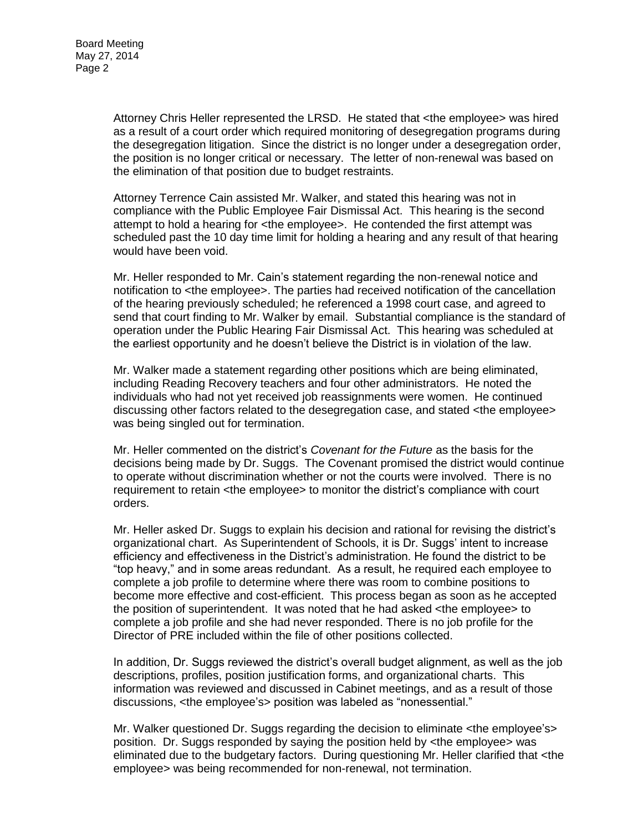Attorney Chris Heller represented the LRSD. He stated that <the employee> was hired as a result of a court order which required monitoring of desegregation programs during the desegregation litigation. Since the district is no longer under a desegregation order, the position is no longer critical or necessary. The letter of non-renewal was based on the elimination of that position due to budget restraints.

Attorney Terrence Cain assisted Mr. Walker, and stated this hearing was not in compliance with the Public Employee Fair Dismissal Act. This hearing is the second attempt to hold a hearing for <the employee>. He contended the first attempt was scheduled past the 10 day time limit for holding a hearing and any result of that hearing would have been void.

Mr. Heller responded to Mr. Cain's statement regarding the non-renewal notice and notification to <the employee>. The parties had received notification of the cancellation of the hearing previously scheduled; he referenced a 1998 court case, and agreed to send that court finding to Mr. Walker by email. Substantial compliance is the standard of operation under the Public Hearing Fair Dismissal Act. This hearing was scheduled at the earliest opportunity and he doesn't believe the District is in violation of the law.

Mr. Walker made a statement regarding other positions which are being eliminated, including Reading Recovery teachers and four other administrators. He noted the individuals who had not yet received job reassignments were women. He continued discussing other factors related to the desegregation case, and stated <the employee> was being singled out for termination.

Mr. Heller commented on the district's *Covenant for the Future* as the basis for the decisions being made by Dr. Suggs. The Covenant promised the district would continue to operate without discrimination whether or not the courts were involved. There is no requirement to retain <the employee> to monitor the district's compliance with court orders.

Mr. Heller asked Dr. Suggs to explain his decision and rational for revising the district's organizational chart. As Superintendent of Schools, it is Dr. Suggs' intent to increase efficiency and effectiveness in the District's administration. He found the district to be "top heavy," and in some areas redundant. As a result, he required each employee to complete a job profile to determine where there was room to combine positions to become more effective and cost-efficient. This process began as soon as he accepted the position of superintendent. It was noted that he had asked <the employee> to complete a job profile and she had never responded. There is no job profile for the Director of PRE included within the file of other positions collected.

In addition, Dr. Suggs reviewed the district's overall budget alignment, as well as the job descriptions, profiles, position justification forms, and organizational charts. This information was reviewed and discussed in Cabinet meetings, and as a result of those discussions, <the employee's> position was labeled as "nonessential."

Mr. Walker questioned Dr. Suggs regarding the decision to eliminate <the employee's> position. Dr. Suggs responded by saying the position held by <the employee> was eliminated due to the budgetary factors. During questioning Mr. Heller clarified that <the employee> was being recommended for non-renewal, not termination.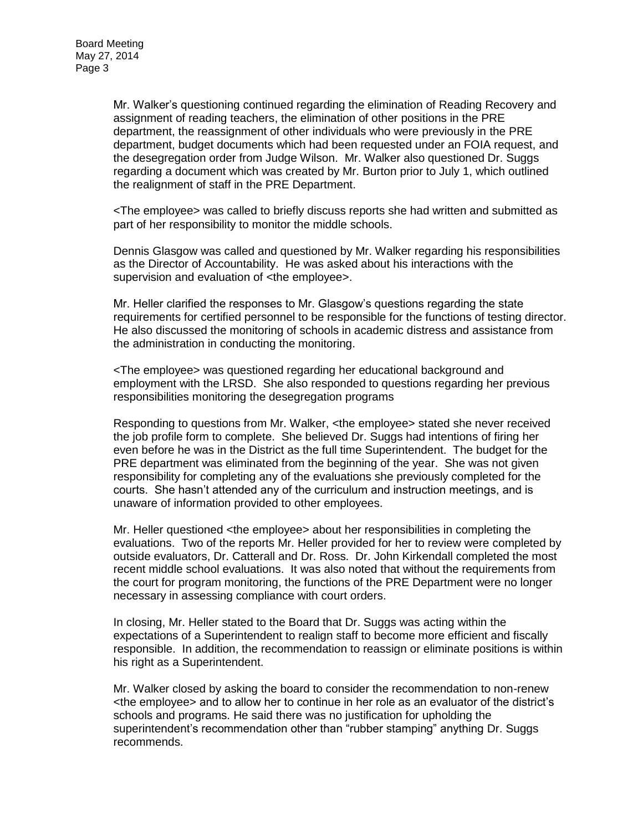Mr. Walker's questioning continued regarding the elimination of Reading Recovery and assignment of reading teachers, the elimination of other positions in the PRE department, the reassignment of other individuals who were previously in the PRE department, budget documents which had been requested under an FOIA request, and the desegregation order from Judge Wilson. Mr. Walker also questioned Dr. Suggs regarding a document which was created by Mr. Burton prior to July 1, which outlined the realignment of staff in the PRE Department.

<The employee> was called to briefly discuss reports she had written and submitted as part of her responsibility to monitor the middle schools.

Dennis Glasgow was called and questioned by Mr. Walker regarding his responsibilities as the Director of Accountability. He was asked about his interactions with the supervision and evaluation of <the employee>.

Mr. Heller clarified the responses to Mr. Glasgow's questions regarding the state requirements for certified personnel to be responsible for the functions of testing director. He also discussed the monitoring of schools in academic distress and assistance from the administration in conducting the monitoring.

<The employee> was questioned regarding her educational background and employment with the LRSD. She also responded to questions regarding her previous responsibilities monitoring the desegregation programs

Responding to questions from Mr. Walker, <the employee> stated she never received the job profile form to complete. She believed Dr. Suggs had intentions of firing her even before he was in the District as the full time Superintendent. The budget for the PRE department was eliminated from the beginning of the year. She was not given responsibility for completing any of the evaluations she previously completed for the courts. She hasn't attended any of the curriculum and instruction meetings, and is unaware of information provided to other employees.

Mr. Heller questioned <the employee> about her responsibilities in completing the evaluations. Two of the reports Mr. Heller provided for her to review were completed by outside evaluators, Dr. Catterall and Dr. Ross. Dr. John Kirkendall completed the most recent middle school evaluations. It was also noted that without the requirements from the court for program monitoring, the functions of the PRE Department were no longer necessary in assessing compliance with court orders.

In closing, Mr. Heller stated to the Board that Dr. Suggs was acting within the expectations of a Superintendent to realign staff to become more efficient and fiscally responsible. In addition, the recommendation to reassign or eliminate positions is within his right as a Superintendent.

Mr. Walker closed by asking the board to consider the recommendation to non-renew <the employee> and to allow her to continue in her role as an evaluator of the district's schools and programs. He said there was no justification for upholding the superintendent's recommendation other than "rubber stamping" anything Dr. Suggs recommends.